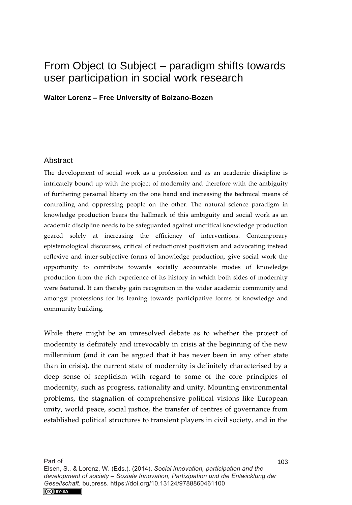## From Object to Subject – paradigm shifts towards user participation in social work research

**Walter Lorenz – Free University of Bolzano-Bozen** 

## **Abstract**

The development of social work as a profession and as an academic discipline is intricately bound up with the project of modernity and therefore with the ambiguity of furthering personal liberty on the one hand and increasing the technical means of controlling and oppressing people on the other. The natural science paradigm in knowledge production bears the hallmark of this ambiguity and social work as an academic discipline needs to be safeguarded against uncritical knowledge production geared solely at increasing the efficiency of interventions. Contemporary epistemological discourses, critical of reductionist positivism and advocating instead reflexive and inter-subjective forms of knowledge production, give social work the opportunity to contribute towards socially accountable modes of knowledge production from the rich experience of its history in which both sides of modernity were featured. It can thereby gain recognition in the wider academic community and amongst professions for its leaning towards participative forms of knowledge and community building.

While there might be an unresolved debate as to whether the project of modernity is definitely and irrevocably in crisis at the beginning of the new millennium (and it can be argued that it has never been in any other state than in crisis), the current state of modernity is definitely characterised by a deep sense of scepticism with regard to some of the core principles of modernity, such as progress, rationality and unity. Mounting environmental problems, the stagnation of comprehensive political visions like European unity, world peace, social justice, the transfer of centres of governance from established political structures to transient players in civil society, and in the

Elsen, S., & Lorenz, W. (Eds.). (2014). *Social innovation, participation and the development of society – Soziale Innovation, Partizipation und die Entwicklung der Gesellschaft.* bu,press. https://doi.org/10.13124/9788860461100CC BY-SA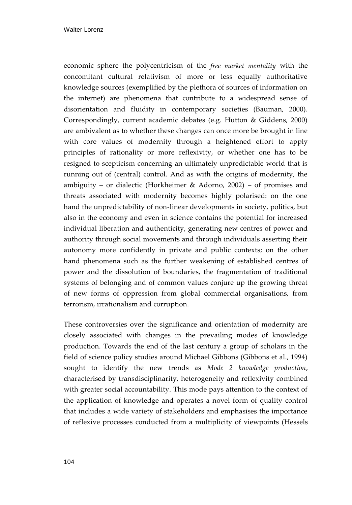economic sphere the polycentricism of the *free market mentality* with the concomitant cultural relativism of more or less equally authoritative knowledge sources (exemplified by the plethora of sources of information on the internet) are phenomena that contribute to a widespread sense of disorientation and fluidity in contemporary societies (Bauman, 2000). Correspondingly, current academic debates (e.g. Hutton & Giddens, 2000) are ambivalent as to whether these changes can once more be brought in line with core values of modernity through a heightened effort to apply principles of rationality or more reflexivity, or whether one has to be resigned to scepticism concerning an ultimately unpredictable world that is running out of (central) control. And as with the origins of modernity, the ambiguity – or dialectic (Horkheimer & Adorno, 2002) – of promises and threats associated with modernity becomes highly polarised: on the one hand the unpredictability of non-linear developments in society, politics, but also in the economy and even in science contains the potential for increased individual liberation and authenticity, generating new centres of power and authority through social movements and through individuals asserting their autonomy more confidently in private and public contexts; on the other hand phenomena such as the further weakening of established centres of power and the dissolution of boundaries, the fragmentation of traditional systems of belonging and of common values conjure up the growing threat of new forms of oppression from global commercial organisations, from terrorism, irrationalism and corruption.

These controversies over the significance and orientation of modernity are closely associated with changes in the prevailing modes of knowledge production. Towards the end of the last century a group of scholars in the field of science policy studies around Michael Gibbons (Gibbons et al., 1994) sought to identify the new trends as *Mode 2 knowledge production*, characterised by transdisciplinarity, heterogeneity and reflexivity combined with greater social accountability. This mode pays attention to the context of the application of knowledge and operates a novel form of quality control that includes a wide variety of stakeholders and emphasises the importance of reflexive processes conducted from a multiplicity of viewpoints (Hessels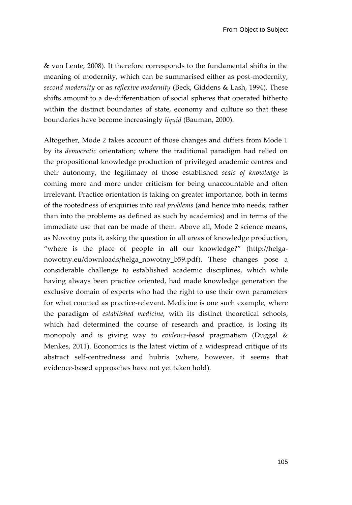& van Lente, 2008). It therefore corresponds to the fundamental shifts in the meaning of modernity, which can be summarised either as post-modernity, *second modernity* or as *reflexive modernity* (Beck, Giddens & Lash, 1994). These shifts amount to a de-differentiation of social spheres that operated hitherto within the distinct boundaries of state, economy and culture so that these boundaries have become increasingly *liquid* (Bauman, 2000).

Altogether, Mode 2 takes account of those changes and differs from Mode 1 by its *democratic* orientation; where the traditional paradigm had relied on the propositional knowledge production of privileged academic centres and their autonomy, the legitimacy of those established *seats of knowledge* is coming more and more under criticism for being unaccountable and often irrelevant. Practice orientation is taking on greater importance, both in terms of the rootedness of enquiries into *real problems* (and hence into needs, rather than into the problems as defined as such by academics) and in terms of the immediate use that can be made of them. Above all, Mode 2 science means, as Novotny puts it, asking the question in all areas of knowledge production, "where is the place of people in all our knowledge?" [\(http://helga](http://helga-nowotny.eu/downloads/helga_nowotny_b59.pdf)[nowotny.eu/downloads/helga\\_nowotny\\_b59.pdf\)](http://helga-nowotny.eu/downloads/helga_nowotny_b59.pdf). These changes pose a considerable challenge to established academic disciplines, which while having always been practice oriented, had made knowledge generation the exclusive domain of experts who had the right to use their own parameters for what counted as practice-relevant. Medicine is one such example, where the paradigm of *established medicine*, with its distinct theoretical schools, which had determined the course of research and practice, is losing its monopoly and is giving way to *evidence-based* pragmatism (Duggal & Menkes, 2011). Economics is the latest victim of a widespread critique of its abstract self-centredness and hubris (where, however, it seems that evidence-based approaches have not yet taken hold).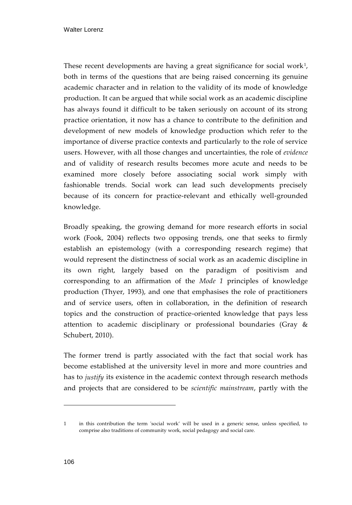These recent developments are having a great significance for social work $^{\text{1}},$ both in terms of the questions that are being raised concerning its genuine academic character and in relation to the validity of its mode of knowledge production. It can be argued that while social work as an academic discipline has always found it difficult to be taken seriously on account of its strong practice orientation, it now has a chance to contribute to the definition and development of new models of knowledge production which refer to the importance of diverse practice contexts and particularly to the role of service users. However, with all those changes and uncertainties, the role of *evidence* and of validity of research results becomes more acute and needs to be examined more closely before associating social work simply with fashionable trends. Social work can lead such developments precisely because of its concern for practice-relevant and ethically well-grounded knowledge.

Broadly speaking, the growing demand for more research efforts in social work (Fook, 2004) reflects two opposing trends, one that seeks to firmly establish an epistemology (with a corresponding research regime) that would represent the distinctness of social work as an academic discipline in its own right, largely based on the paradigm of positivism and corresponding to an affirmation of the *Mode 1* principles of knowledge production (Thyer, 1993), and one that emphasises the role of practitioners and of service users, often in collaboration, in the definition of research topics and the construction of practice-oriented knowledge that pays less attention to academic disciplinary or professional boundaries (Gray & Schubert, 2010).

The former trend is partly associated with the fact that social work has become established at the university level in more and more countries and has to *justify* its existence in the academic context through research methods and projects that are considered to be *scientific mainstream*, partly with the

j

<sup>1</sup> in this contribution the term 'social work' will be used in a generic sense, unless specified, to comprise also traditions of community work, social pedagogy and social care.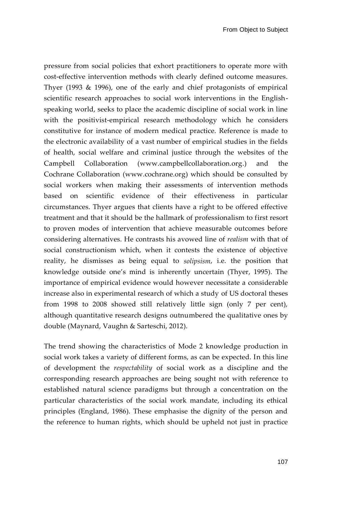pressure from social policies that exhort practitioners to operate more with cost-effective intervention methods with clearly defined outcome measures. Thyer (1993 & 1996), one of the early and chief protagonists of empirical scientific research approaches to social work interventions in the Englishspeaking world, seeks to place the academic discipline of social work in line with the positivist-empirical research methodology which he considers constitutive for instance of modern medical practice. Reference is made to the electronic availability of a vast number of empirical studies in the fields of health, social welfare and criminal justice through the websites of the Campbell Collaboration [\(www.campbellcollaboration.org.\)](http://www.campbellcollaboration.org/) and the Cochrane Collaboration [\(www.cochrane.org\)](http://www.cochrane.org/) which should be consulted by social workers when making their assessments of intervention methods based on scientific evidence of their effectiveness in particular circumstances. Thyer argues that clients have a right to be offered effective treatment and that it should be the hallmark of professionalism to first resort to proven modes of intervention that achieve measurable outcomes before considering alternatives. He contrasts his avowed line of *realism* with that of social constructionism which, when it contests the existence of objective reality, he dismisses as being equal to *solipsism*, i.e. the position that knowledge outside one's mind is inherently uncertain (Thyer, 1995). The importance of empirical evidence would however necessitate a considerable increase also in experimental research of which a study of US doctoral theses from 1998 to 2008 showed still relatively little sign (only 7 per cent), although quantitative research designs outnumbered the qualitative ones by double (Maynard, Vaughn & Sarteschi, 2012).

The trend showing the characteristics of Mode 2 knowledge production in social work takes a variety of different forms, as can be expected. In this line of development the *respectability* of social work as a discipline and the corresponding research approaches are being sought not with reference to established natural science paradigms but through a concentration on the particular characteristics of the social work mandate, including its ethical principles (England, 1986). These emphasise the dignity of the person and the reference to human rights, which should be upheld not just in practice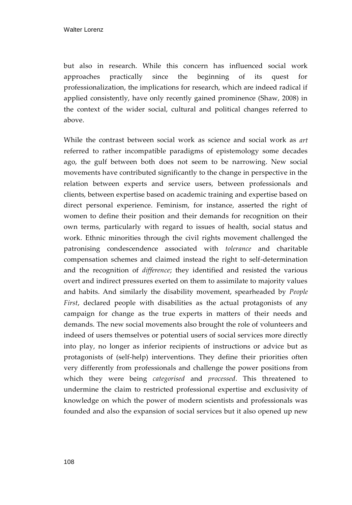but also in research. While this concern has influenced social work approaches practically since the beginning of its quest for professionalization, the implications for research, which are indeed radical if applied consistently, have only recently gained prominence (Shaw, 2008) in the context of the wider social, cultural and political changes referred to above.

While the contrast between social work as science and social work as *art* referred to rather incompatible paradigms of epistemology some decades ago, the gulf between both does not seem to be narrowing. New social movements have contributed significantly to the change in perspective in the relation between experts and service users, between professionals and clients, between expertise based on academic training and expertise based on direct personal experience. Feminism, for instance, asserted the right of women to define their position and their demands for recognition on their own terms, particularly with regard to issues of health, social status and work. Ethnic minorities through the civil rights movement challenged the patronising condescendence associated with *tolerance* and charitable compensation schemes and claimed instead the right to self-determination and the recognition of *difference*; they identified and resisted the various overt and indirect pressures exerted on them to assimilate to majority values and habits. And similarly the disability movement, spearheaded by *People First*, declared people with disabilities as the actual protagonists of any campaign for change as the true experts in matters of their needs and demands. The new social movements also brought the role of volunteers and indeed of users themselves or potential users of social services more directly into play, no longer as inferior recipients of instructions or advice but as protagonists of (self-help) interventions. They define their priorities often very differently from professionals and challenge the power positions from which they were being *categorised* and *processed*. This threatened to undermine the claim to restricted professional expertise and exclusivity of knowledge on which the power of modern scientists and professionals was founded and also the expansion of social services but it also opened up new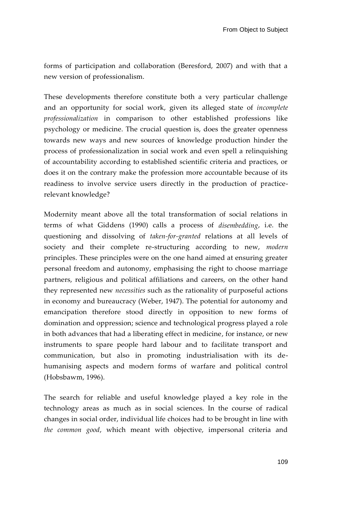forms of participation and collaboration (Beresford, 2007) and with that a new version of professionalism.

These developments therefore constitute both a very particular challenge and an opportunity for social work, given its alleged state of *incomplete professionalization* in comparison to other established professions like psychology or medicine. The crucial question is, does the greater openness towards new ways and new sources of knowledge production hinder the process of professionalization in social work and even spell a relinquishing of accountability according to established scientific criteria and practices, or does it on the contrary make the profession more accountable because of its readiness to involve service users directly in the production of practicerelevant knowledge?

Modernity meant above all the total transformation of social relations in terms of what Giddens (1990) calls a process of *disembedding*, i.e. the questioning and dissolving of *taken-for-granted* relations at all levels of society and their complete re-structuring according to new, *modern* principles. These principles were on the one hand aimed at ensuring greater personal freedom and autonomy, emphasising the right to choose marriage partners, religious and political affiliations and careers, on the other hand they represented new *necessities* such as the rationality of purposeful actions in economy and bureaucracy (Weber, 1947). The potential for autonomy and emancipation therefore stood directly in opposition to new forms of domination and oppression; science and technological progress played a role in both advances that had a liberating effect in medicine, for instance, or new instruments to spare people hard labour and to facilitate transport and communication, but also in promoting industrialisation with its dehumanising aspects and modern forms of warfare and political control (Hobsbawm, 1996).

The search for reliable and useful knowledge played a key role in the technology areas as much as in social sciences. In the course of radical changes in social order, individual life choices had to be brought in line with *the common good*, which meant with objective, impersonal criteria and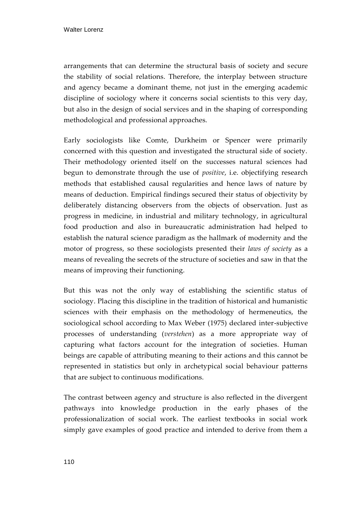arrangements that can determine the structural basis of society and secure the stability of social relations. Therefore, the interplay between structure and agency became a dominant theme, not just in the emerging academic discipline of sociology where it concerns social scientists to this very day, but also in the design of social services and in the shaping of corresponding methodological and professional approaches.

Early sociologists like Comte, Durkheim or Spencer were primarily concerned with this question and investigated the structural side of society. Their methodology oriented itself on the successes natural sciences had begun to demonstrate through the use of *positive*, i.e. objectifying research methods that established causal regularities and hence laws of nature by means of deduction. Empirical findings secured their status of objectivity by deliberately distancing observers from the objects of observation. Just as progress in medicine, in industrial and military technology, in agricultural food production and also in bureaucratic administration had helped to establish the natural science paradigm as the hallmark of modernity and the motor of progress, so these sociologists presented their *laws of society* as a means of revealing the secrets of the structure of societies and saw in that the means of improving their functioning.

But this was not the only way of establishing the scientific status of sociology. Placing this discipline in the tradition of historical and humanistic sciences with their emphasis on the methodology of hermeneutics, the sociological school according to Max Weber (1975) declared inter-subjective processes of understanding (*verstehen*) as a more appropriate way of capturing what factors account for the integration of societies. Human beings are capable of attributing meaning to their actions and this cannot be represented in statistics but only in archetypical social behaviour patterns that are subject to continuous modifications.

The contrast between agency and structure is also reflected in the divergent pathways into knowledge production in the early phases of the professionalization of social work. The earliest textbooks in social work simply gave examples of good practice and intended to derive from them a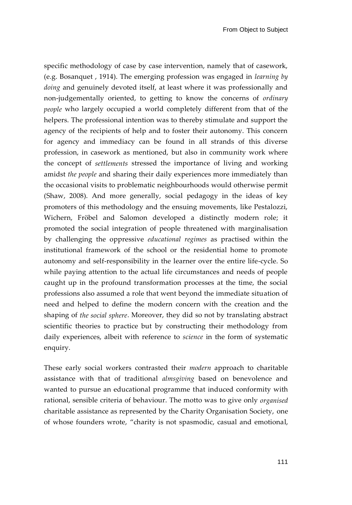specific methodology of case by case intervention, namely that of casework, (e.g. Bosanquet , 1914). The emerging profession was engaged in *learning by doing* and genuinely devoted itself, at least where it was professionally and non-judgementally oriented, to getting to know the concerns of *ordinary people* who largely occupied a world completely different from that of the helpers. The professional intention was to thereby stimulate and support the agency of the recipients of help and to foster their autonomy. This concern for agency and immediacy can be found in all strands of this diverse profession, in casework as mentioned, but also in community work where the concept of *settlements* stressed the importance of living and working amidst *the people* and sharing their daily experiences more immediately than the occasional visits to problematic neighbourhoods would otherwise permit (Shaw, 2008). And more generally, social pedagogy in the ideas of key promoters of this methodology and the ensuing movements, like Pestalozzi, Wichern, Fröbel and Salomon developed a distinctly modern role; it promoted the social integration of people threatened with marginalisation by challenging the oppressive *educational regimes* as practised within the institutional framework of the school or the residential home to promote autonomy and self-responsibility in the learner over the entire life-cycle. So while paying attention to the actual life circumstances and needs of people caught up in the profound transformation processes at the time, the social professions also assumed a role that went beyond the immediate situation of need and helped to define the modern concern with the creation and the shaping of *the social sphere*. Moreover, they did so not by translating abstract scientific theories to practice but by constructing their methodology from daily experiences, albeit with reference to *science* in the form of systematic enquiry.

These early social workers contrasted their *modern* approach to charitable assistance with that of traditional *almsgiving* based on benevolence and wanted to pursue an educational programme that induced conformity with rational, sensible criteria of behaviour. The motto was to give only *organised* charitable assistance as represented by the Charity Organisation Society, one of whose founders wrote, "charity is not spasmodic, casual and emotional,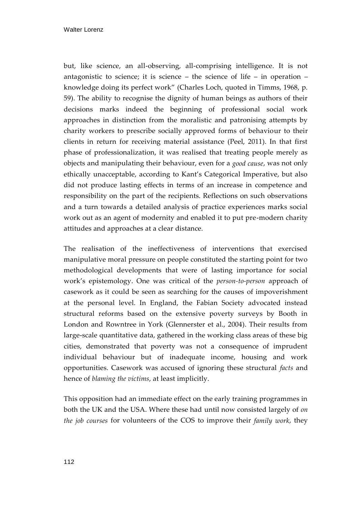but, like science, an all-observing, all-comprising intelligence. It is not antagonistic to science; it is science – the science of life – in operation – knowledge doing its perfect work" (Charles Loch, quoted in Timms, 1968, p. 59). The ability to recognise the dignity of human beings as authors of their decisions marks indeed the beginning of professional social work approaches in distinction from the moralistic and patronising attempts by charity workers to prescribe socially approved forms of behaviour to their clients in return for receiving material assistance (Peel, 2011). In that first phase of professionalization, it was realised that treating people merely as objects and manipulating their behaviour, even for a *good cause*, was not only ethically unacceptable, according to Kant's Categorical Imperative, but also did not produce lasting effects in terms of an increase in competence and responsibility on the part of the recipients. Reflections on such observations and a turn towards a detailed analysis of practice experiences marks social work out as an agent of modernity and enabled it to put pre-modern charity attitudes and approaches at a clear distance.

The realisation of the ineffectiveness of interventions that exercised manipulative moral pressure on people constituted the starting point for two methodological developments that were of lasting importance for social work's epistemology. One was critical of the *person-to-person* approach of casework as it could be seen as searching for the causes of impoverishment at the personal level. In England, the Fabian Society advocated instead structural reforms based on the extensive poverty surveys by Booth in London and Rowntree in York (Glennerster et al., 2004). Their results from large-scale quantitative data, gathered in the working class areas of these big cities, demonstrated that poverty was not a consequence of imprudent individual behaviour but of inadequate income, housing and work opportunities. Casework was accused of ignoring these structural *facts* and hence of *blaming the victims*, at least implicitly.

This opposition had an immediate effect on the early training programmes in both the UK and the USA. Where these had until now consisted largely of *on the job courses* for volunteers of the COS to improve their *family work*, they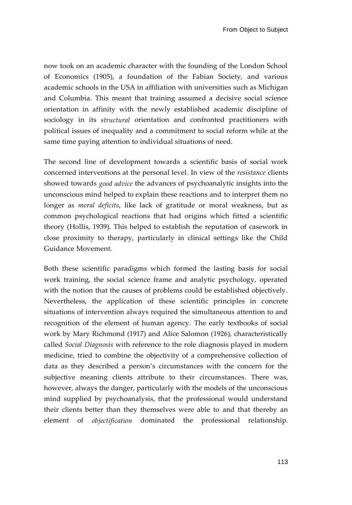now took on an academic character with the founding of the London School of Economics (1905), a foundation of the Fabian Society, and various academic schools in the USA in affiliation with universities such as Michigan and Columbia. This meant that training assumed a decisive social science orientation in affinity with the newly established academic discipline of sociology in its *structural* orientation and confronted practitioners with political issues of inequality and a commitment to social reform while at the same time paying attention to individual situations of need.

The second line of development towards a scientific basis of social work concerned interventions at the personal level. In view of the *resistance* clients showed towards *good advice* the advances of psychoanalytic insights into the unconscious mind helped to explain these reactions and to interpret them no longer as *moral deficits*, like lack of gratitude or moral weakness, but as common psychological reactions that had origins which fitted a scientific theory (Hollis, 1939). This helped to establish the reputation of casework in close proximity to therapy, particularly in clinical settings like the Child Guidance Movement.

Both these scientific paradigms which formed the lasting basis for social work training, the social science frame and analytic psychology, operated with the notion that the causes of problems could be established objectively. Nevertheless, the application of these scientific principles in concrete situations of intervention always required the simultaneous attention to and recognition of the element of human agency. The early textbooks of social work by Mary Richmond (1917) and Alice Salomon (1926), characteristically called *Social Diagnosis* with reference to the role diagnosis played in modern medicine, tried to combine the objectivity of a comprehensive collection of data as they described a person's circumstances with the concern for the subjective meaning clients attribute to their circumstances. There was, however, always the danger, particularly with the models of the unconscious mind supplied by psychoanalysis, that the professional would understand their clients better than they themselves were able to and that thereby an element of *objectification* dominated the professional relationship.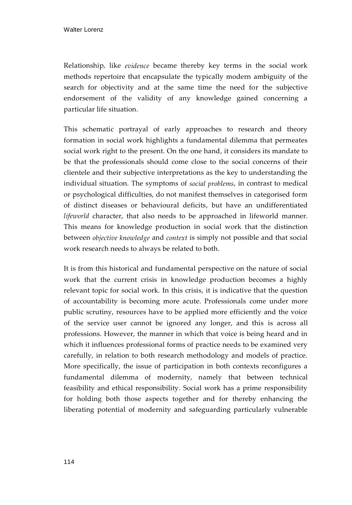Relationship, like *evidence* became thereby key terms in the social work methods repertoire that encapsulate the typically modern ambiguity of the search for objectivity and at the same time the need for the subjective endorsement of the validity of any knowledge gained concerning a particular life situation.

This schematic portrayal of early approaches to research and theory formation in social work highlights a fundamental dilemma that permeates social work right to the present. On the one hand, it considers its mandate to be that the professionals should come close to the social concerns of their clientele and their subjective interpretations as the key to understanding the individual situation. The symptoms of *social problems*, in contrast to medical or psychological difficulties, do not manifest themselves in categorised form of distinct diseases or behavioural deficits, but have an undifferentiated *lifeworld* character, that also needs to be approached in lifeworld manner. This means for knowledge production in social work that the distinction between *objective knowledge* and *context* is simply not possible and that social work research needs to always be related to both.

It is from this historical and fundamental perspective on the nature of social work that the current crisis in knowledge production becomes a highly relevant topic for social work. In this crisis, it is indicative that the question of accountability is becoming more acute. Professionals come under more public scrutiny, resources have to be applied more efficiently and the voice of the service user cannot be ignored any longer, and this is across all professions. However, the manner in which that voice is being heard and in which it influences professional forms of practice needs to be examined very carefully, in relation to both research methodology and models of practice. More specifically, the issue of participation in both contexts reconfigures a fundamental dilemma of modernity, namely that between technical feasibility and ethical responsibility. Social work has a prime responsibility for holding both those aspects together and for thereby enhancing the liberating potential of modernity and safeguarding particularly vulnerable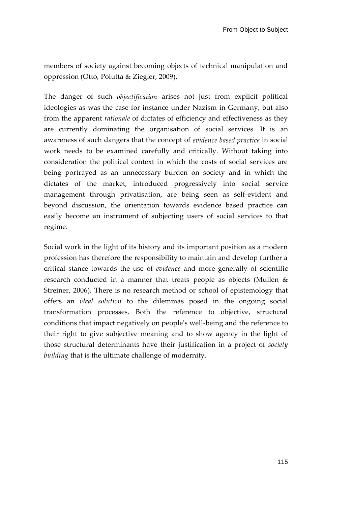members of society against becoming objects of technical manipulation and oppression (Otto, Polutta & Ziegler, 2009).

The danger of such *objectification* arises not just from explicit political ideologies as was the case for instance under Nazism in Germany, but also from the apparent *rationale* of dictates of efficiency and effectiveness as they are currently dominating the organisation of social services. It is an awareness of such dangers that the concept of *evidence based practice* in social work needs to be examined carefully and critically. Without taking into consideration the political context in which the costs of social services are being portrayed as an unnecessary burden on society and in which the dictates of the market, introduced progressively into social service management through privatisation, are being seen as self-evident and beyond discussion, the orientation towards evidence based practice can easily become an instrument of subjecting users of social services to that regime.

Social work in the light of its history and its important position as a modern profession has therefore the responsibility to maintain and develop further a critical stance towards the use of *evidence* and more generally of scientific research conducted in a manner that treats people as objects (Mullen & Streiner, 2006). There is no research method or school of epistemology that offers an *ideal solution* to the dilemmas posed in the ongoing social transformation processes. Both the reference to objective, structural conditions that impact negatively on people's well-being and the reference to their right to give subjective meaning and to show agency in the light of those structural determinants have their justification in a project of *society building* that is the ultimate challenge of modernity.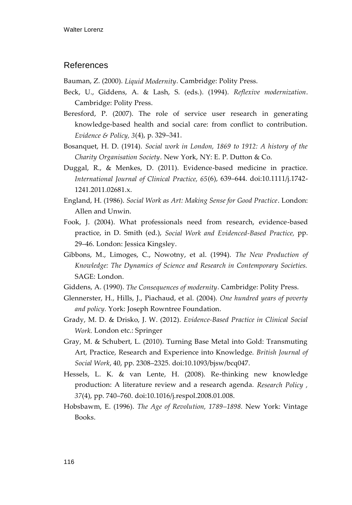## References

Bauman, Z. (2000). *Liquid Modernity*. Cambridge: Polity Press.

- Beck, U., Giddens, A. & Lash, S. (eds.). (1994). *Reflexive modernization*. Cambridge: Polity Press.
- Beresford, P. (2007). The role of service user research in generating knowledge-based health and social care: from conflict to contribution. *Evidence & Policy, 3*(4), p. 329–341.
- Bosanquet, H. D. (1914). *Social work in London, 1869 to 1912: A history of the Charity Organisation Society*. New York, NY: E. P. Dutton & Co.
- Duggal, R., & Menkes, D. (2011). Evidence-based medicine in practice. *International Journal of Clinical Practice, 65*(6), 639–644. doi:10.1111/j.1742- 1241.2011.02681.x.
- England, H. (1986). *Social Work as Art: Making Sense for Good Practice*. London: Allen and Unwin.
- Fook, J. (2004). What professionals need from research, evidence-based practice, in D. Smith (ed.), *Social Work and Evidenced-Based Practice,* pp. 29–46. London: Jessica Kingsley.
- Gibbons, M., Limoges, C., Nowotny, et al. (1994). *The New Production of Knowledge: The Dynamics of Science and Research in Contemporary Societies.*  SAGE: London.
- Giddens, A. (1990). *The Consequences of modernity*. Cambridge: Polity Press.
- Glennerster, H., Hills, J., Piachaud, et al. (2004). *One hundred years of poverty and policy.* York: Joseph Rowntree Foundation.
- Grady, M. D. & Drisko, J. W. (2012). *Evidence-Based Practice in Clinical Social Work.* London etc.: Springer
- Gray, M. & Schubert, L. (2010). Turning Base Metal into Gold: Transmuting Art, Practice, Research and Experience into Knowledge. *British Journal of Social Work*, 40, pp. 2308–2325. doi:10.1093/bjsw/bcq047.
- Hessels, L. K. & van Lente, H. (2008). Re-thinking new knowledge production: A literature review and a research agenda. *Research Policy , 37*(4), pp. 740–760. doi:10.1016/j.respol.2008.01.008.
- Hobsbawm, E. (1996). *The Age of Revolution, 1789–1898.* New York: Vintage Books.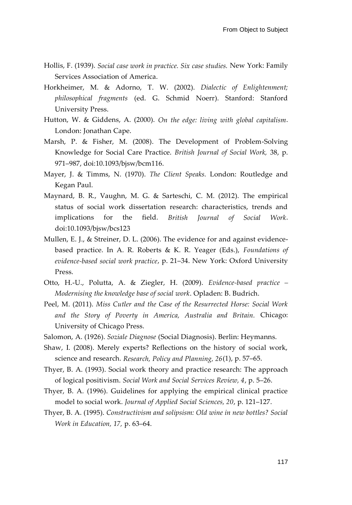- Hollis, F. (1939). *Social case work in practice. Six case studies.* New York: Family Services Association of America.
- Horkheimer, M. & Adorno, T. W. (2002). *Dialectic of Enlightenment; philosophical fragments* (ed. G. Schmid Noerr). Stanford: Stanford University Press.
- Hutton, W. & Giddens, A. (2000). *On the edge: living with global capitalism*. London: Jonathan Cape.
- Marsh, P. & Fisher, M. (2008). The Development of Problem-Solving Knowledge for Social Care Practice. *British Journal of Social Work,* 38, p. 971–987, doi:10.1093/bjsw/bcm116.
- Mayer, J. & Timms, N. (1970). *The Client Speaks.* London: Routledge and Kegan Paul.
- Maynard, B. R., Vaughn, M. G. & Sarteschi, C. M. (2012). The empirical status of social work dissertation research: characteristics, trends and implications for the field. *British Journal of Social Work*. doi:10.1093/bjsw/bcs123
- Mullen, E. J., & Streiner, D. L. (2006). The evidence for and against evidencebased practice. In A. R. Roberts & K. R. Yeager (Eds.), *Foundations of evidence-based social work practice*, p. 21–34. New York: Oxford University Press.
- Otto, H.-U., Polutta, A. & Ziegler, H. (2009). *Evidence-based practice – Modernising the knowledge base of social work*. Opladen: B. Budrich.
- Peel, M. (2011). *Miss Cutler and the Case of the Resurrected Horse: Social Work and the Story of Poverty in America, Australia and Britain.* Chicago: University of Chicago Press.
- Salomon, A. (1926). *Soziale Diagnose* (Social Diagnosis). Berlin: Heymanns.
- Shaw, I. (2008). Merely experts? Reflections on the history of social work, science and research. *Research, Policy and Planning, 26*(1), p. 57–65.
- Thyer, B. A. (1993). Social work theory and practice research: The approach of logical positivism. *Social Work and Social Services Review, 4*, p. 5–26.
- Thyer, B. A. (1996). Guidelines for applying the empirical clinical practice model to social work. *Journal of Applied Social Sciences, 20*, p. 121–127.
- Thyer, B. A. (1995). *Constructivism and solipsism: Old wine in new bottles? Social Work in Education, 17,* p. 63–64.